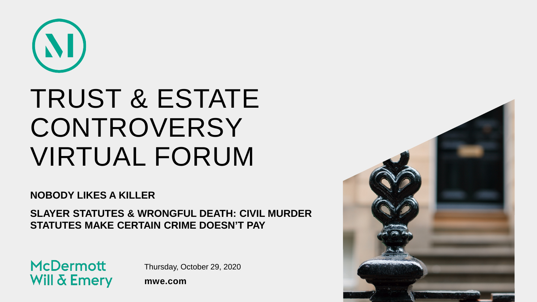

## TRUST & ESTATE **CONTROVERSY** VIRTUAL FORUM

**NOBODY LIKES A KILLER**

**SLAYER STATUTES & WRONGFUL DEATH: CIVIL MURDER STATUTES MAKE CERTAIN CRIME DOESN'T PAY**

**McDermott Will & Emery** 

Thursday, October 29, 2020

**mwe.com**

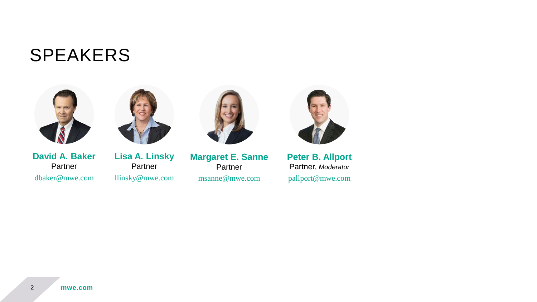#### SPEAKERS





**David A. Baker** Partner dbaker@mwe.com

**Lisa A. Linsky** Partner llinsky@mwe.com



**Margaret E. Sanne** Partner msanne@mwe.com



**Peter B. Allport** Partner, *Moderator* pallport@mwe.com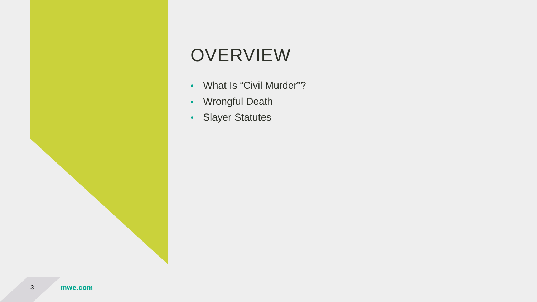#### **OVERVIEW**

- What Is "Civil Murder"?
- Wrongful Death
- Slayer Statutes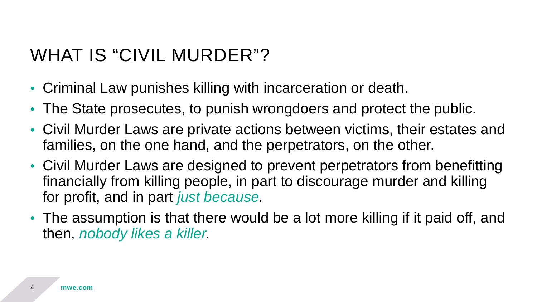#### WHAT IS "CIVIL MURDER"?

- Criminal Law punishes killing with incarceration or death.
- The State prosecutes, to punish wrongdoers and protect the public.
- Civil Murder Laws are private actions between victims, their estates and families, on the one hand, and the perpetrators, on the other.
- Civil Murder Laws are designed to prevent perpetrators from benefitting financially from killing people, in part to discourage murder and killing for profit, and in part *just because.*
- The assumption is that there would be a lot more killing if it paid off, and then, *nobody likes a killer.*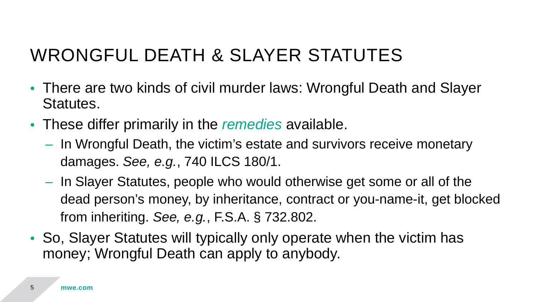#### WRONGFUL DEATH & SLAYER STATUTES

- There are two kinds of civil murder laws: Wrongful Death and Slayer Statutes.
- These differ primarily in the *remedies* available.
	- In Wrongful Death, the victim's estate and survivors receive monetary damages. *See, e.g.*, 740 ILCS 180/1.
	- In Slayer Statutes, people who would otherwise get some or all of the dead person's money, by inheritance, contract or you-name-it, get blocked from inheriting. *See, e.g.*, F.S.A. § 732.802.
- So, Slayer Statutes will typically only operate when the victim has money; Wrongful Death can apply to anybody.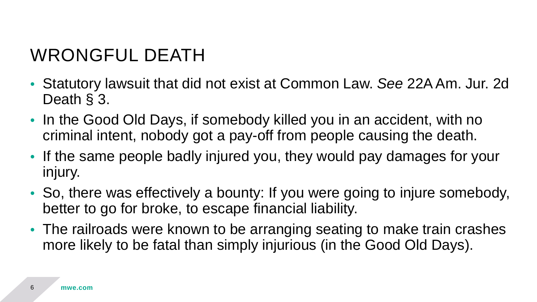### WRONGFUL DEATH

- Statutory lawsuit that did not exist at Common Law. *See* 22A Am. Jur. 2d Death § 3.
- In the Good Old Days, if somebody killed you in an accident, with no criminal intent, nobody got a pay-off from people causing the death.
- If the same people badly injured you, they would pay damages for your injury.
- So, there was effectively a bounty: If you were going to injure somebody, better to go for broke, to escape financial liability.
- The railroads were known to be arranging seating to make train crashes more likely to be fatal than simply injurious (in the Good Old Days).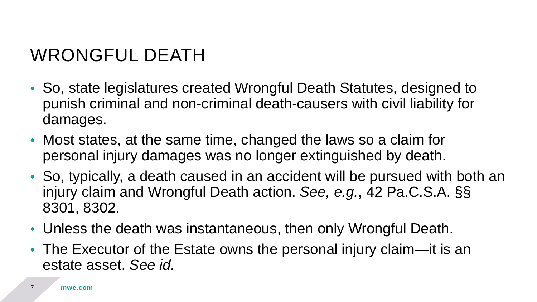### WRONGFUL DEATH

- So, state legislatures created Wrongful Death Statutes, designed to punish criminal and non-criminal death-causers with civil liability for damages.
- Most states, at the same time, changed the laws so a claim for personal injury damages was no longer extinguished by death.
- So, typically, a death caused in an accident will be pursued with both an injury claim and Wrongful Death action. *See, e.g.*, 42 Pa.C.S.A. §§ 8301, 8302.
- Unless the death was instantaneous, then only Wrongful Death.
- The Executor of the Estate owns the personal injury claim—it is an estate asset. *See id.*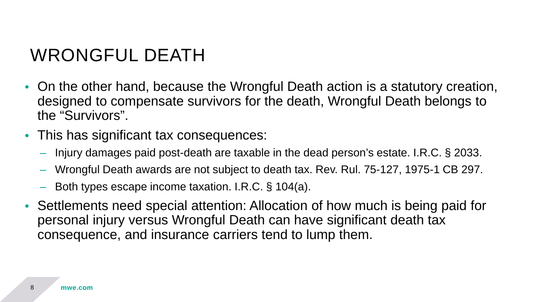#### WRONGFUL DEATH

- On the other hand, because the Wrongful Death action is a statutory creation, designed to compensate survivors for the death, Wrongful Death belongs to the "Survivors".
- This has significant tax consequences:
	- Injury damages paid post-death are taxable in the dead person's estate. I.R.C. § 2033.
	- Wrongful Death awards are not subject to death tax. Rev. Rul. 75-127, 1975-1 CB 297.
	- Both types escape income taxation. I.R.C. § 104(a).
- Settlements need special attention: Allocation of how much is being paid for personal injury versus Wrongful Death can have significant death tax consequence, and insurance carriers tend to lump them.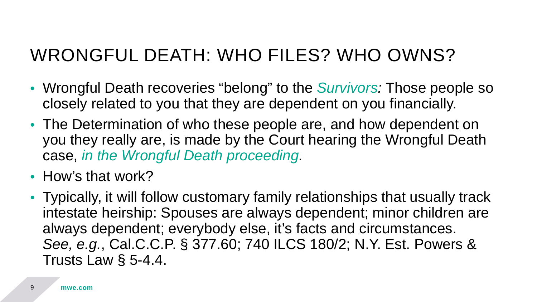#### WRONGFUL DEATH: WHO FILES? WHO OWNS?

- Wrongful Death recoveries "belong" to the *Survivors:* Those people so closely related to you that they are dependent on you financially.
- The Determination of who these people are, and how dependent on you they really are, is made by the Court hearing the Wrongful Death case, *in the Wrongful Death proceeding.*
- How's that work?
- Typically, it will follow customary family relationships that usually track intestate heirship: Spouses are always dependent; minor children are always dependent; everybody else, it's facts and circumstances. *See, e.g.*, Cal.C.C.P. § 377.60; 740 ILCS 180/2; N.Y. Est. Powers & Trusts Law § 5-4.4.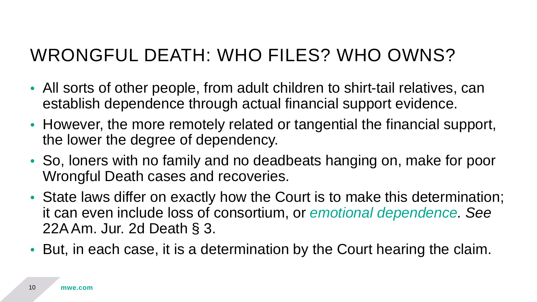#### WRONGFUL DEATH: WHO FILES? WHO OWNS?

- All sorts of other people, from adult children to shirt-tail relatives, can establish dependence through actual financial support evidence.
- However, the more remotely related or tangential the financial support, the lower the degree of dependency.
- So, loners with no family and no deadbeats hanging on, make for poor Wrongful Death cases and recoveries.
- State laws differ on exactly how the Court is to make this determination; it can even include loss of consortium, or *emotional dependence. See* 22A Am. Jur. 2d Death § 3.
- But, in each case, it is a determination by the Court hearing the claim.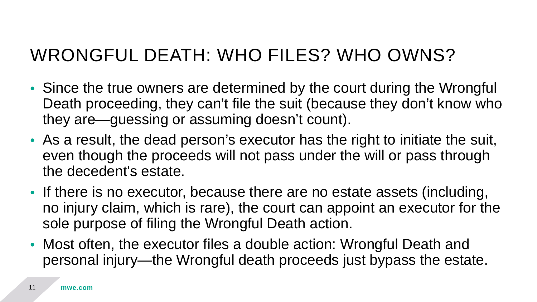#### WRONGFUL DEATH: WHO FILES? WHO OWNS?

- Since the true owners are determined by the court during the Wrongful Death proceeding, they can't file the suit (because they don't know who they are—guessing or assuming doesn't count).
- As a result, the dead person's executor has the right to initiate the suit, even though the proceeds will not pass under the will or pass through the decedent's estate.
- If there is no executor, because there are no estate assets (including, no injury claim, which is rare), the court can appoint an executor for the sole purpose of filing the Wrongful Death action.
- Most often, the executor files a double action: Wrongful Death and personal injury—the Wrongful death proceeds just bypass the estate.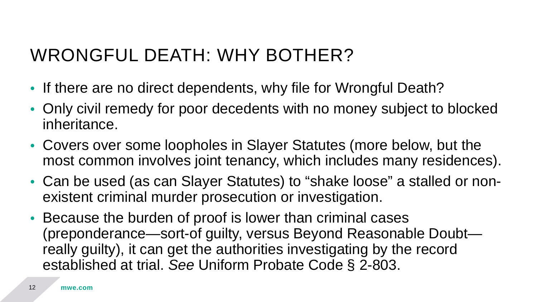#### WRONGFUL DEATH: WHY BOTHER?

- If there are no direct dependents, why file for Wrongful Death?
- Only civil remedy for poor decedents with no money subject to blocked inheritance.
- Covers over some loopholes in Slayer Statutes (more below, but the most common involves joint tenancy, which includes many residences).
- Can be used (as can Slayer Statutes) to "shake loose" a stalled or nonexistent criminal murder prosecution or investigation.
- Because the burden of proof is lower than criminal cases (preponderance—sort-of guilty, versus Beyond Reasonable Doubt really guilty), it can get the authorities investigating by the record established at trial. *See* Uniform Probate Code § 2-803.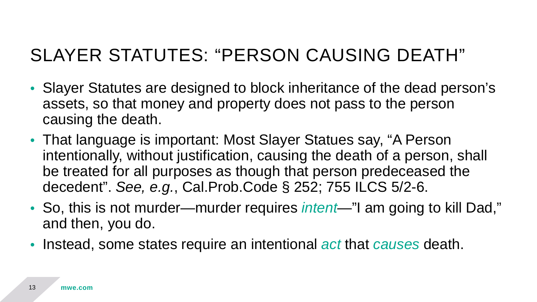- Slayer Statutes are designed to block inheritance of the dead person's assets, so that money and property does not pass to the person causing the death.
- That language is important: Most Slayer Statues say, "A Person intentionally, without justification, causing the death of a person, shall be treated for all purposes as though that person predeceased the decedent". *See, e.g.*, Cal.Prob.Code § 252; 755 ILCS 5/2-6.
- So, this is not murder—murder requires *intent*—"I am going to kill Dad," and then, you do.
- Instead, some states require an intentional *act* that *causes* death.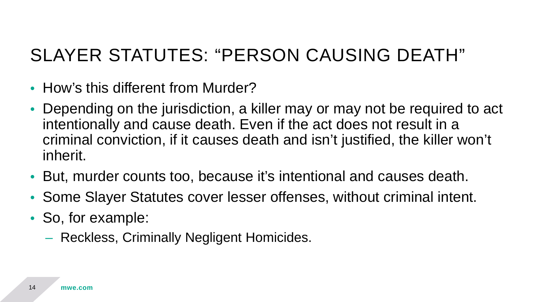- How's this different from Murder?
- Depending on the jurisdiction, a killer may or may not be required to act intentionally and cause death. Even if the act does not result in a criminal conviction, if it causes death and isn't justified, the killer won't inherit.
- But, murder counts too, because it's intentional and causes death.
- Some Slayer Statutes cover lesser offenses, without criminal intent.
- So, for example:
	- Reckless, Criminally Negligent Homicides.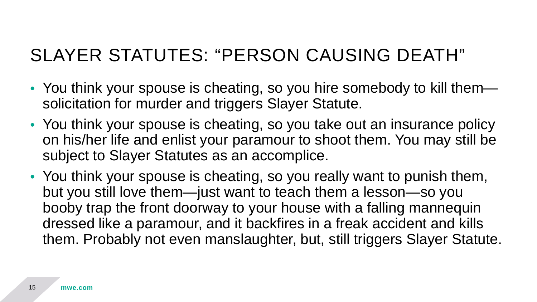- You think your spouse is cheating, so you hire somebody to kill them solicitation for murder and triggers Slayer Statute.
- You think your spouse is cheating, so you take out an insurance policy on his/her life and enlist your paramour to shoot them. You may still be subject to Slayer Statutes as an accomplice.
- You think your spouse is cheating, so you really want to punish them, but you still love them—just want to teach them a lesson—so you booby trap the front doorway to your house with a falling mannequin dressed like a paramour, and it backfires in a freak accident and kills them. Probably not even manslaughter, but, still triggers Slayer Statute.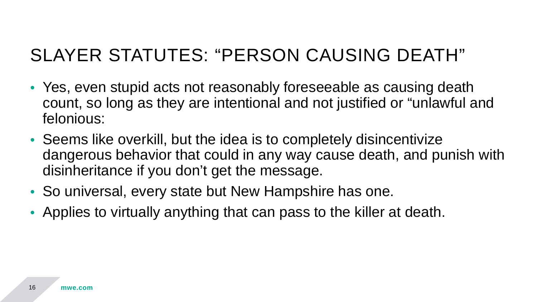- Yes, even stupid acts not reasonably foreseeable as causing death count, so long as they are intentional and not justified or "unlawful and felonious:
- Seems like overkill, but the idea is to completely disincentivize dangerous behavior that could in any way cause death, and punish with disinheritance if you don't get the message.
- So universal, every state but New Hampshire has one.
- Applies to virtually anything that can pass to the killer at death.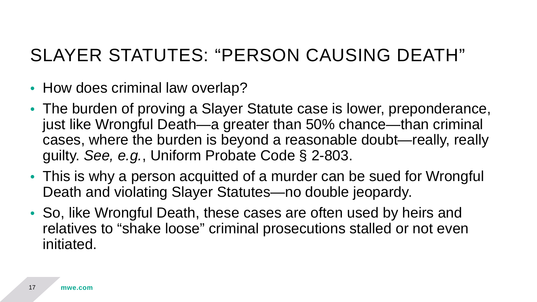- How does criminal law overlap?
- The burden of proving a Slayer Statute case is lower, preponderance, just like Wrongful Death—a greater than 50% chance—than criminal cases, where the burden is beyond a reasonable doubt—really, really guilty. *See, e.g.*, Uniform Probate Code § 2-803.
- This is why a person acquitted of a murder can be sued for Wrongful Death and violating Slayer Statutes—no double jeopardy.
- So, like Wrongful Death, these cases are often used by heirs and relatives to "shake loose" criminal prosecutions stalled or not even initiated.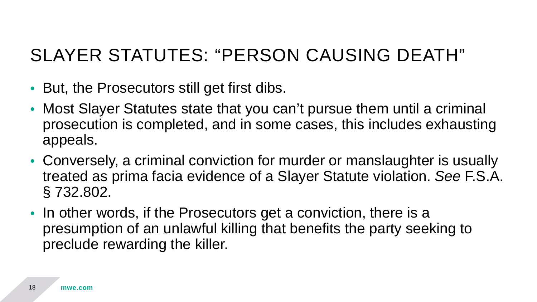- But, the Prosecutors still get first dibs.
- Most Slayer Statutes state that you can't pursue them until a criminal prosecution is completed, and in some cases, this includes exhausting appeals.
- Conversely, a criminal conviction for murder or manslaughter is usually treated as prima facia evidence of a Slayer Statute violation. *See* F.S.A. § 732.802.
- In other words, if the Prosecutors get a conviction, there is a presumption of an unlawful killing that benefits the party seeking to preclude rewarding the killer.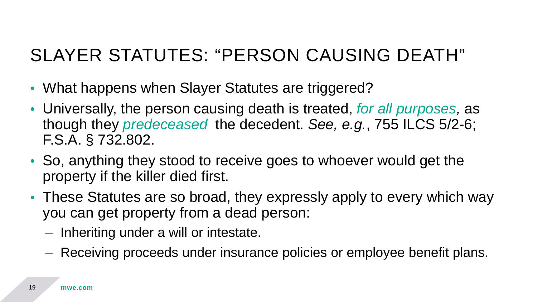- What happens when Slayer Statutes are triggered?
- Universally, the person causing death is treated, *for all purposes,* as though they *predeceased* the decedent. *See, e.g.*, 755 ILCS 5/2-6; F.S.A. § 732.802.
- So, anything they stood to receive goes to whoever would get the property if the killer died first.
- These Statutes are so broad, they expressly apply to every which way you can get property from a dead person:
	- Inheriting under a will or intestate.
	- Receiving proceeds under insurance policies or employee benefit plans.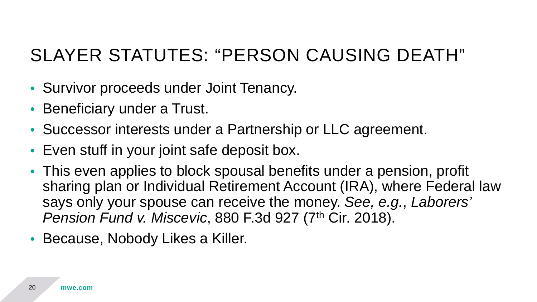- Survivor proceeds under Joint Tenancy.
- Beneficiary under a Trust.
- Successor interests under a Partnership or LLC agreement.
- Even stuff in your joint safe deposit box.
- This even applies to block spousal benefits under a pension, profit sharing plan or Individual Retirement Account (IRA), where Federal law says only your spouse can receive the money. *See, e.g.*, *Laborers' Pension Fund v. Miscevic*, 880 F.3d 927 (7<sup>th</sup> Cir. 2018).
- Because, Nobody Likes a Killer.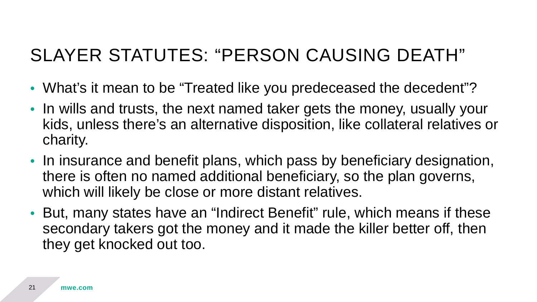- What's it mean to be "Treated like you predeceased the decedent"?
- In wills and trusts, the next named taker gets the money, usually your kids, unless there's an alternative disposition, like collateral relatives or charity.
- In insurance and benefit plans, which pass by beneficiary designation, there is often no named additional beneficiary, so the plan governs, which will likely be close or more distant relatives.
- But, many states have an "Indirect Benefit" rule, which means if these secondary takers got the money and it made the killer better off, then they get knocked out too.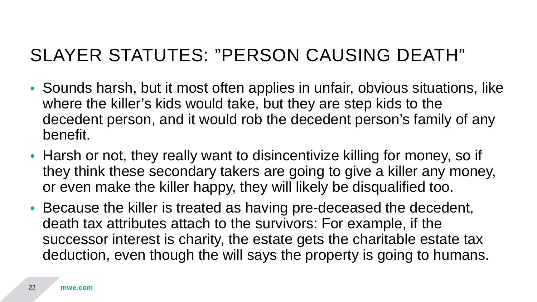- Sounds harsh, but it most often applies in unfair, obvious situations, like where the killer's kids would take, but they are step kids to the decedent person, and it would rob the decedent person's family of any benefit.
- Harsh or not, they really want to disincentivize killing for money, so if they think these secondary takers are going to give a killer any money, or even make the killer happy, they will likely be disqualified too.
- Because the killer is treated as having pre-deceased the decedent, death tax attributes attach to the survivors: For example, if the successor interest is charity, the estate gets the charitable estate tax deduction, even though the will says the property is going to humans.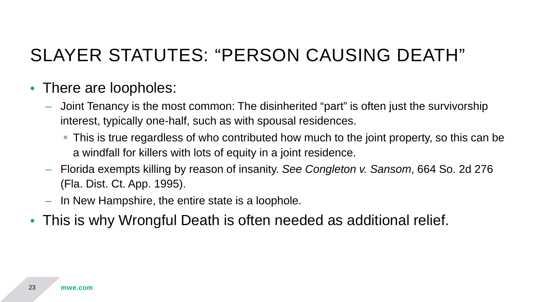#### • There are loopholes:

- Joint Tenancy is the most common: The disinherited "part" is often just the survivorship interest, typically one-half, such as with spousal residences.
	- This is true regardless of who contributed how much to the joint property, so this can be a windfall for killers with lots of equity in a joint residence.
- Florida exempts killing by reason of insanity. *See Congleton v. Sansom*, 664 So. 2d 276 (Fla. Dist. Ct. App. 1995).
- In New Hampshire, the entire state is a loophole.
- This is why Wrongful Death is often needed as additional relief.